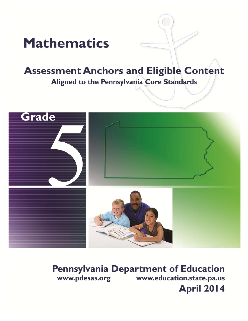# **Mathematics**

## **Assessment Anchors and Eligible Content** Aligned to the Pennsylvania Core Standards



## **Pennsylvania Department of Education** www.pdesas.org www.education.state.pa.us

**April 2014**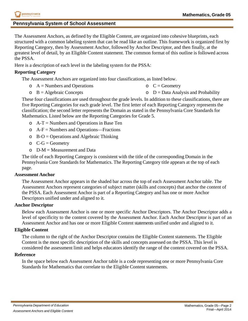## **Pennsylvania System of School Assessment**

The Assessment Anchors, as defined by the Eligible Content, are organized into cohesive blueprints, each structured with a common labeling system that can be read like an outline. This framework is organized first by Reporting Category, then by Assessment Anchor, followed by Anchor Descriptor, and then finally, at the greatest level of detail, by an Eligible Content statement. The common format of this outline is followed across the PSSA.

Here is a description of each level in the labeling system for the PSSA:

## **Reporting Category**

The Assessment Anchors are organized into four classifications, as listed below.

- $\circ$  A = Numbers and Operations  $C = Geometry$
- $\circ$  B = Algebraic Concepts  $\circ$  D = Data Analysis and Probability

These four classifications are used throughout the grade levels. In addition to these classifications, there are five Reporting Categories for each grade level. The first letter of each Reporting Category represents the classification; the second letter represents the Domain as stated in the Pennsylvania Core Standards for Mathematics. Listed below are the Reporting Categories for Grade 5.

- $\circ$  A-T = Numbers and Operations in Base Ten
- $\circ$  A-F = Numbers and Operations—Fractions
- $\circ$  B-O = Operations and Algebraic Thinking
- $\circ$  C-G = Geometry
- $O$  D-M = Measurement and Data

The title of each Reporting Category is consistent with the title of the corresponding Domain in the Pennsylvania Core Standards for Mathematics. The Reporting Category title appears at the top of each page.

## **Assessment Anchor**

The Assessment Anchor appears in the shaded bar across the top of each Assessment Anchor table. The Assessment Anchors represent categories of subject matter (skills and concepts) that anchor the content of the PSSA. Each Assessment Anchor is part of a Reporting Category and has one or more Anchor Descriptors unified under and aligned to it.

## **Anchor Descriptor**

Below each Assessment Anchor is one or more specific Anchor Descriptors. The Anchor Descriptor adds a level of specificity to the content covered by the Assessment Anchor. Each Anchor Descriptor is part of an Assessment Anchor and has one or more Eligible Content statements unified under and aligned to it.

## **Eligible Content**

The column to the right of the Anchor Descriptor contains the Eligible Content statements. The Eligible Content is the most specific description of the skills and concepts assessed on the PSSA. This level is considered the assessment limit and helps educators identify the range of the content covered on the PSSA.

### **Reference**

In the space below each Assessment Anchor table is a code representing one or more Pennsylvania Core Standards for Mathematics that correlate to the Eligible Content statements.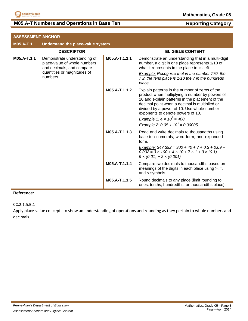

## **M05.A-T Numbers and Operations in Base Ten <b>Reporting Category**

| <b>ASSESSMENT ANCHOR</b> |                                                                                                                                      |               |                                                                                                                                                                                                                                                                                                                                                                      |
|--------------------------|--------------------------------------------------------------------------------------------------------------------------------------|---------------|----------------------------------------------------------------------------------------------------------------------------------------------------------------------------------------------------------------------------------------------------------------------------------------------------------------------------------------------------------------------|
| <b>M05.A-T.1</b>         | Understand the place-value system.                                                                                                   |               |                                                                                                                                                                                                                                                                                                                                                                      |
|                          | <b>DESCRIPTOR</b>                                                                                                                    |               | <b>ELIGIBLE CONTENT</b>                                                                                                                                                                                                                                                                                                                                              |
| M05.A-T.1.1              | Demonstrate understanding of<br>place-value of whole numbers<br>and decimals, and compare<br>quantities or magnitudes of<br>numbers. | M05.A-T.1.1.1 | Demonstrate an understanding that in a multi-digit<br>number, a digit in one place represents 1/10 of<br>what it represents in the place to its left.                                                                                                                                                                                                                |
|                          |                                                                                                                                      |               | Example: Recognize that in the number 770, the<br>7 in the tens place is 1/10 the 7 in the hundreds<br>place.                                                                                                                                                                                                                                                        |
|                          |                                                                                                                                      | M05.A-T.1.1.2 | Explain patterns in the number of zeros of the<br>product when multiplying a number by powers of<br>10 and explain patterns in the placement of the<br>decimal point when a decimal is multiplied or<br>divided by a power of 10. Use whole-number<br>exponents to denote powers of 10.<br>Example 1: $4 \times 10^2 = 400$<br>Example 2: $0.05 \div 10^3 = 0.00005$ |
|                          |                                                                                                                                      | M05.A-T.1.1.3 | Read and write decimals to thousandths using<br>base-ten numerals, word form, and expanded<br>form.<br>Example: $347.392 = 300 + 40 + 7 + 0.3 + 0.09 +$<br>$0.002 = 3 \times 100 + 4 \times 10 + 7 \times 1 + 3 \times (0.1) +$<br>$9 \times (0.01) + 2 \times (0.001)$                                                                                              |
|                          |                                                                                                                                      | M05.A-T.1.1.4 | Compare two decimals to thousandths based on<br>meanings of the digits in each place using $>$ , $=$ ,<br>and $\lt$ symbols.                                                                                                                                                                                                                                         |
|                          |                                                                                                                                      | M05.A-T.1.1.5 | Round decimals to any place (limit rounding to<br>ones, tenths, hundredths, or thousandths place).                                                                                                                                                                                                                                                                   |

### **Reference:**

CC.2.1.5.B.1

Apply place‐value concepts to show an understanding of operations and rounding as they pertain to whole numbers and decimals.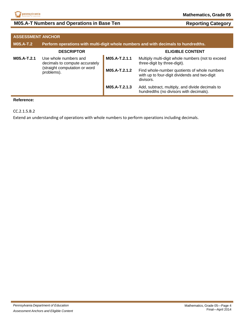

## **M05.A-T Numbers and Operations in Base Ten <b>Reporting Category** Reporting Category

| <b>ASSESSMENT ANCHOR</b>                    |                                                                                    |                                                                                                            |                                                                                            |
|---------------------------------------------|------------------------------------------------------------------------------------|------------------------------------------------------------------------------------------------------------|--------------------------------------------------------------------------------------------|
| <b>M05.A-T.2</b>                            | Perform operations with multi-digit whole numbers and with decimals to hundredths. |                                                                                                            |                                                                                            |
|                                             | <b>DESCRIPTOR</b>                                                                  |                                                                                                            | <b>ELIGIBLE CONTENT</b>                                                                    |
| M05.A-T.2.1                                 | Use whole numbers and<br>decimals to compute accurately                            | M05.A-T.2.1.1                                                                                              | Multiply multi-digit whole numbers (not to exceed<br>three-digit by three-digit).          |
| (straight computation or word<br>problems). | M05.A-T.2.1.2                                                                      | Find whole-number quotients of whole numbers<br>with up to four-digit dividends and two-digit<br>divisors. |                                                                                            |
|                                             |                                                                                    | M05.A-T.2.1.3                                                                                              | Add, subtract, multiply, and divide decimals to<br>hundredths (no divisors with decimals). |

### **Reference:**

CC.2.1.5.B.2

Extend an understanding of operations with whole numbers to perform operations including decimals.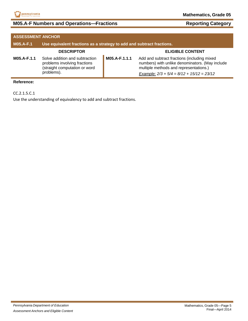

## **M05.A-F Numbers and Operations—Fractions Reporting Category**

| <b>ASSESSMENT ANCHOR</b> |                                                                                                               |               |                                                                                                                                                                                         |
|--------------------------|---------------------------------------------------------------------------------------------------------------|---------------|-----------------------------------------------------------------------------------------------------------------------------------------------------------------------------------------|
| <b>M05.A-F.1</b>         | Use equivalent fractions as a strategy to add and subtract fractions.                                         |               |                                                                                                                                                                                         |
|                          | <b>DESCRIPTOR</b>                                                                                             |               | <b>ELIGIBLE CONTENT</b>                                                                                                                                                                 |
| M05.A-F.1.1              | Solve addition and subtraction<br>problems involving fractions<br>(straight computation or word<br>problems). | M05.A-F.1.1.1 | Add and subtract fractions (including mixed<br>numbers) with unlike denominators. (May include<br>multiple methods and representations.)<br>Example: $2/3 + 5/4 = 8/12 + 15/12 = 23/12$ |

### **Reference:**

CC.2.1.5.C.1

Use the understanding of equivalency to add and subtract fractions.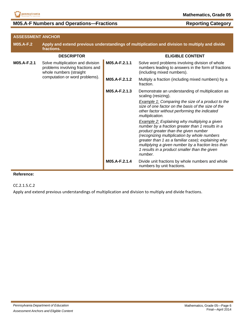

## **M05.A-F Numbers and Operations—Fractions Reporting Category**

| <b>ASSESSMENT ANCHOR</b>                                                                                        |                                |                                                                                                                                      |                                                                                                                                                                                                                                                                                                                                                                           |
|-----------------------------------------------------------------------------------------------------------------|--------------------------------|--------------------------------------------------------------------------------------------------------------------------------------|---------------------------------------------------------------------------------------------------------------------------------------------------------------------------------------------------------------------------------------------------------------------------------------------------------------------------------------------------------------------------|
| <b>M05.A-F.2</b>                                                                                                | fractions.                     |                                                                                                                                      | Apply and extend previous understandings of multiplication and division to multiply and divide                                                                                                                                                                                                                                                                            |
|                                                                                                                 | <b>DESCRIPTOR</b>              |                                                                                                                                      | <b>ELIGIBLE CONTENT</b>                                                                                                                                                                                                                                                                                                                                                   |
| M05.A-F.2.1<br>Solve multiplication and division<br>problems involving fractions and<br>whole numbers (straight | M05.A-F.2.1.1                  | Solve word problems involving division of whole<br>numbers leading to answers in the form of fractions<br>(including mixed numbers). |                                                                                                                                                                                                                                                                                                                                                                           |
|                                                                                                                 | computation or word problems). | M05.A-F.2.1.2                                                                                                                        | Multiply a fraction (including mixed numbers) by a<br>fraction.                                                                                                                                                                                                                                                                                                           |
|                                                                                                                 |                                | M05.A-F.2.1.3                                                                                                                        | Demonstrate an understanding of multiplication as<br>scaling (resizing).                                                                                                                                                                                                                                                                                                  |
|                                                                                                                 |                                |                                                                                                                                      | Example 1: Comparing the size of a product to the<br>size of one factor on the basis of the size of the<br>other factor without performing the indicated<br>multiplication.                                                                                                                                                                                               |
|                                                                                                                 |                                |                                                                                                                                      | <b>Example 2:</b> Explaining why multiplying a given<br>number by a fraction greater than 1 results in a<br>product greater than the given number<br>(recognizing multiplication by whole numbers<br>greater than 1 as a familiar case); explaining why<br>multiplying a given number by a fraction less than<br>1 results in a product smaller than the given<br>number. |
|                                                                                                                 |                                | M05.A-F.2.1.4                                                                                                                        | Divide unit fractions by whole numbers and whole<br>numbers by unit fractions.                                                                                                                                                                                                                                                                                            |

### **Reference:**

CC.2.1.5.C.2

Apply and extend previous understandings of multiplication and division to multiply and divide fractions.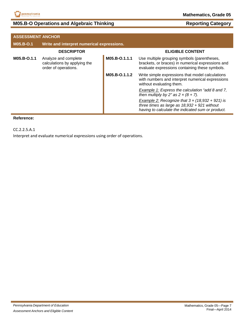

## **M05.B-O Operations and Algebraic Thinking <b>Reporting Category Reporting Category**

| <b>ASSESSMENT ANCHOR</b> |                                                                              |               |                                                                                                                                                               |
|--------------------------|------------------------------------------------------------------------------|---------------|---------------------------------------------------------------------------------------------------------------------------------------------------------------|
| M05.B-O.1                | Write and interpret numerical expressions.                                   |               |                                                                                                                                                               |
|                          | <b>DESCRIPTOR</b>                                                            |               | <b>ELIGIBLE CONTENT</b>                                                                                                                                       |
| M05.B-O.1.1              | Analyze and complete<br>calculations by applying the<br>order of operations. | M05.B-O.1.1.1 | Use multiple grouping symbols (parentheses,<br>brackets, or braces) in numerical expressions and<br>evaluate expressions containing these symbols.            |
|                          |                                                                              | M05.B-O.1.1.2 | Write simple expressions that model calculations<br>with numbers and interpret numerical expressions<br>without evaluating them.                              |
|                          |                                                                              |               | Example 1: Express the calculation "add 8 and 7,<br>then multiply by 2" as $2 \times (8 + 7)$ .                                                               |
|                          |                                                                              |               | Example 2: Recognize that $3 \times (18,932 + 921)$ is<br>three times as large as $18,932 + 921$ without<br>having to calculate the indicated sum or product. |

### **Reference:**

CC.2.2.5.A.1

Interpret and evaluate numerical expressions using order of operations.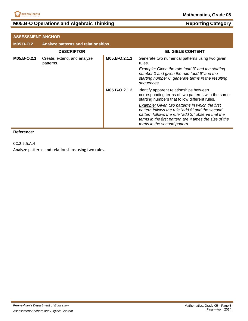

## **M05.B-O Operations and Algebraic Thinking <b>Reporting Category Reporting Category**

|             | <b>ASSESSMENT ANCHOR</b>                 |               |                                                                                                                                                                                                                                                   |  |
|-------------|------------------------------------------|---------------|---------------------------------------------------------------------------------------------------------------------------------------------------------------------------------------------------------------------------------------------------|--|
| M05.B-O.2   | Analyze patterns and relationships.      |               |                                                                                                                                                                                                                                                   |  |
|             | <b>DESCRIPTOR</b>                        |               | <b>ELIGIBLE CONTENT</b>                                                                                                                                                                                                                           |  |
| M05.B-O.2.1 | Create, extend, and analyze<br>patterns. | M05.B-O.2.1.1 | Generate two numerical patterns using two given<br>rules.                                                                                                                                                                                         |  |
|             |                                          |               | Example: Given the rule "add 3" and the starting<br>number 0 and given the rule "add 6" and the<br>starting number 0, generate terms in the resulting<br>sequences.                                                                               |  |
|             |                                          | M05.B-O.2.1.2 | Identify apparent relationships between<br>corresponding terms of two patterns with the same<br>starting numbers that follow different rules.                                                                                                     |  |
|             |                                          |               | Example: Given two patterns in which the first<br>pattern follows the rule "add 8" and the second<br>pattern follows the rule "add 2," observe that the<br>terms in the first pattern are 4 times the size of the<br>terms in the second pattern. |  |

### **Reference:**

CC.2.2.5.A.4

Analyze patterns and relationships using two rules.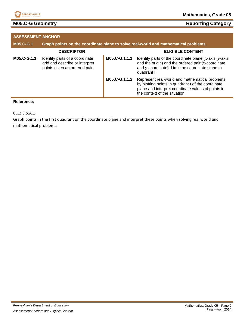

## **M05.C-G Geometry Reporting Category Reporting Category**

| <b>ASSESSMENT ANCHOR</b> |                                                                                                   |               |                                                                                                                                                                                             |
|--------------------------|---------------------------------------------------------------------------------------------------|---------------|---------------------------------------------------------------------------------------------------------------------------------------------------------------------------------------------|
| <b>M05.C-G.1</b>         |                                                                                                   |               | Graph points on the coordinate plane to solve real-world and mathematical problems.                                                                                                         |
|                          | <b>DESCRIPTOR</b>                                                                                 |               | <b>ELIGIBLE CONTENT</b>                                                                                                                                                                     |
| M05.C-G.1.1              | Identify parts of a coordinate<br>grid and describe or interpret<br>points given an ordered pair. | M05.C-G.1.1.1 | Identify parts of the coordinate plane (x-axis, y-axis,<br>and the origin) and the ordered pair (x-coordinate<br>and y-coordinate). Limit the coordinate plane to<br>quadrant I.            |
|                          |                                                                                                   | M05.C-G.1.1.2 | Represent real-world and mathematical problems<br>by plotting points in quadrant I of the coordinate<br>plane and interpret coordinate values of points in<br>the context of the situation. |

## **Reference:**

CC.2.3.5.A.1

Graph points in the first quadrant on the coordinate plane and interpret these points when solving real world and mathematical problems.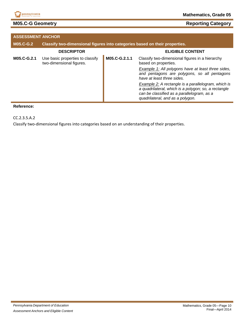

## **M05.C-G Geometry Reporting Category Reporting Category**

| <b>ASSESSMENT ANCHOR</b> |                                                                             |               |                                                                                                                                                                                                      |
|--------------------------|-----------------------------------------------------------------------------|---------------|------------------------------------------------------------------------------------------------------------------------------------------------------------------------------------------------------|
| <b>M05.C-G.2</b>         | Classify two-dimensional figures into categories based on their properties. |               |                                                                                                                                                                                                      |
|                          | <b>DESCRIPTOR</b>                                                           |               | <b>ELIGIBLE CONTENT</b>                                                                                                                                                                              |
| M05.C-G.2.1              | Use basic properties to classify<br>two-dimensional figures.                | M05.C-G.2.1.1 | Classify two-dimensional figures in a hierarchy<br>based on properties.                                                                                                                              |
|                          |                                                                             |               | <b>Example 1:</b> All polygons have at least three sides,<br>and pentagons are polygons, so all pentagons<br>have at least three sides.                                                              |
|                          |                                                                             |               | <b>Example 2:</b> A rectangle is a parallelogram, which is<br>a quadrilateral, which is a polygon; so, a rectangle<br>can be classified as a parallelogram, as a<br>quadrilateral, and as a polygon. |

### **Reference:**

CC.2.3.5.A.2

Classify two‐dimensional figures into categories based on an understanding of their properties.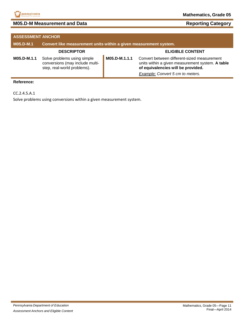

## **M05.D-M Measurement and Data**

| <b>Reporting Category</b> |
|---------------------------|
|---------------------------|

| <b>ASSESSMENT ANCHOR</b> |                                                                                               |               |                                                                                                                                                                           |
|--------------------------|-----------------------------------------------------------------------------------------------|---------------|---------------------------------------------------------------------------------------------------------------------------------------------------------------------------|
| M05.D-M.1                | Convert like measurement units within a given measurement system.                             |               |                                                                                                                                                                           |
|                          | <b>DESCRIPTOR</b>                                                                             |               | <b>ELIGIBLE CONTENT</b>                                                                                                                                                   |
| M05.D-M.1.1              | Solve problems using simple<br>conversions (may include multi-<br>step, real-world problems). | M05.D-M.1.1.1 | Convert between different-sized measurement<br>units within a given measurement system. A table<br>of equivalencies will be provided.<br>Example: Convert 5 cm to meters. |

### **Reference:**

CC.2.4.5.A.1

Solve problems using conversions within a given measurement system.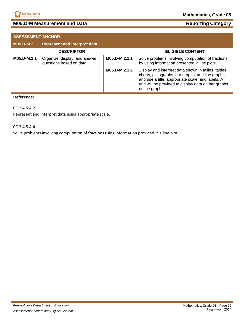

|                  | <b>ASSESSMENT ANCHOR</b>                                  |               |                                                                                                                                                                                                                                          |  |
|------------------|-----------------------------------------------------------|---------------|------------------------------------------------------------------------------------------------------------------------------------------------------------------------------------------------------------------------------------------|--|
| <b>M05.D-M.2</b> | <b>Represent and interpret data.</b>                      |               |                                                                                                                                                                                                                                          |  |
|                  | <b>DESCRIPTOR</b>                                         |               | <b>ELIGIBLE CONTENT</b>                                                                                                                                                                                                                  |  |
| M05.D-M.2.1      | Organize, display, and answer<br>questions based on data. | M05.D-M.2.1.1 | Solve problems involving computation of fractions<br>by using information presented in line plots.                                                                                                                                       |  |
|                  |                                                           | M05.D-M.2.1.2 | Display and interpret data shown in tallies, tables,<br>charts, pictographs, bar graphs, and line graphs,<br>and use a title, appropriate scale, and labels. A<br>grid will be provided to display data on bar graphs<br>or line graphs. |  |

### **Reference:**

CC.2.4.5.A.2

Represent and interpret data using appropriate scale.

CC.2.4.5.A.4

Solve problems involving computation of fractions using information provided in a line plot.